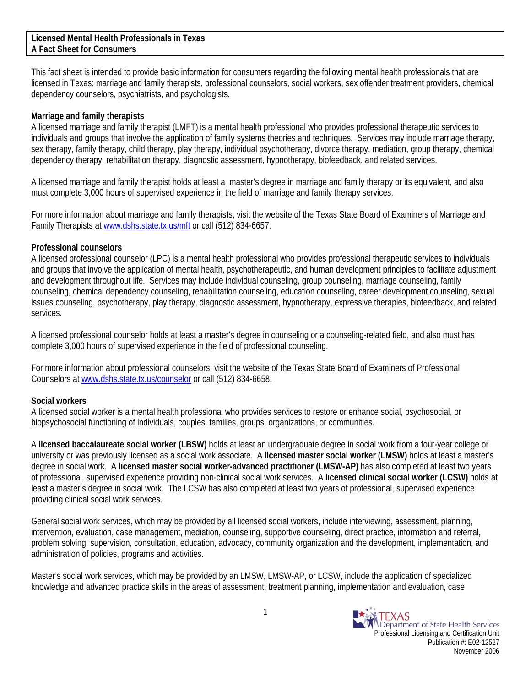# **Licensed Mental Health Professionals in Texas A Fact Sheet for Consumers**

This fact sheet is intended to provide basic information for consumers regarding the following mental health professionals that are licensed in Texas: marriage and family therapists, professional counselors, social workers, sex offender treatment providers, chemical dependency counselors, psychiatrists, and psychologists.

### **Marriage and family therapists**

A licensed marriage and family therapist (LMFT) is a mental health professional who provides professional therapeutic services to individuals and groups that involve the application of family systems theories and techniques. Services may include marriage therapy, sex therapy, family therapy, child therapy, play therapy, individual psychotherapy, divorce therapy, mediation, group therapy, chemical dependency therapy, rehabilitation therapy, diagnostic assessment, hypnotherapy, biofeedback, and related services.

A licensed marriage and family therapist holds at least a master's degree in marriage and family therapy or its equivalent, and also must complete 3,000 hours of supervised experience in the field of marriage and family therapy services.

For more information about marriage and family therapists, visit the website of the Texas State Board of Examiners of Marriage and Family Therapists at www.dshs.state.tx.us/mft or call (512) 834-6657.

# **Professional counselors**

A licensed professional counselor (LPC) is a mental health professional who provides professional therapeutic services to individuals and groups that involve the application of mental health, psychotherapeutic, and human development principles to facilitate adjustment and development throughout life. Services may include individual counseling, group counseling, marriage counseling, family counseling, chemical dependency counseling, rehabilitation counseling, education counseling, career development counseling, sexual issues counseling, psychotherapy, play therapy, diagnostic assessment, hypnotherapy, expressive therapies, biofeedback, and related services.

A licensed professional counselor holds at least a master's degree in counseling or a counseling-related field, and also must has complete 3,000 hours of supervised experience in the field of professional counseling.

For more information about professional counselors, visit the website of the Texas State Board of Examiners of Professional Counselors at www.dshs.state.tx.us/counselor or call (512) 834-6658.

# **Social workers**

A licensed social worker is a mental health professional who provides services to restore or enhance social, psychosocial, or biopsychosocial functioning of individuals, couples, families, groups, organizations, or communities.

A **licensed baccalaureate social worker (LBSW)** holds at least an undergraduate degree in social work from a four-year college or university or was previously licensed as a social work associate. A **licensed master social worker (LMSW)** holds at least a master's degree in social work. A **licensed master social worker-advanced practitioner (LMSW-AP)** has also completed at least two years of professional, supervised experience providing non-clinical social work services. A **licensed clinical social worker (LCSW)** holds at least a master's degree in social work. The LCSW has also completed at least two years of professional, supervised experience providing clinical social work services.

General social work services, which may be provided by all licensed social workers, include interviewing, assessment, planning, intervention, evaluation, case management, mediation, counseling, supportive counseling, direct practice, information and referral, problem solving, supervision, consultation, education, advocacy, community organization and the development, implementation, and administration of policies, programs and activities.

Master's social work services, which may be provided by an LMSW, LMSW-AP, or LCSW, include the application of specialized knowledge and advanced practice skills in the areas of assessment, treatment planning, implementation and evaluation, case